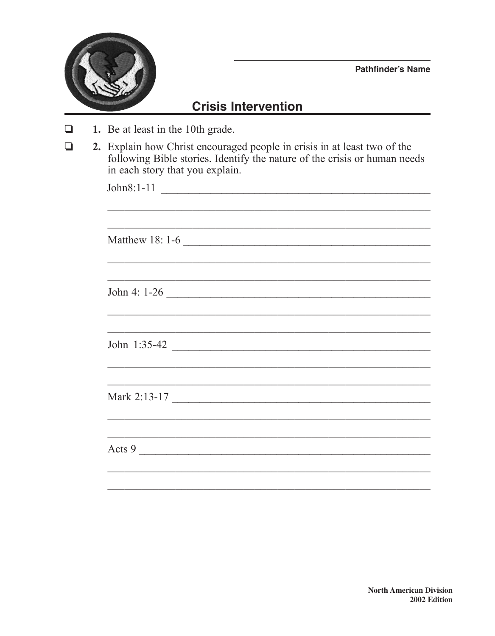

**Pathfinder's Name** 

## **Crisis Intervention**

- 1. Be at least in the 10th grade.  $\Box$
- 2. Explain how Christ encouraged people in crisis in at least two of the following Bible stories. Identify the nature of the crisis or human needs  $\Box$ in each story that you explain.

| Matthew 18: 1-6                                                                  |  |  |
|----------------------------------------------------------------------------------|--|--|
|                                                                                  |  |  |
|                                                                                  |  |  |
| John 4: 1-26                                                                     |  |  |
|                                                                                  |  |  |
|                                                                                  |  |  |
|                                                                                  |  |  |
| ,我们也不能在这里的时候,我们也不能在这里的时候,我们也不能在这里的时候,我们也不能会不能会不能会不能会不能会不能会不能会。""我们的人们也不能会不能会不能会不 |  |  |
|                                                                                  |  |  |
| Mark 2:13-17                                                                     |  |  |
|                                                                                  |  |  |
|                                                                                  |  |  |
| Acts 9                                                                           |  |  |
|                                                                                  |  |  |
|                                                                                  |  |  |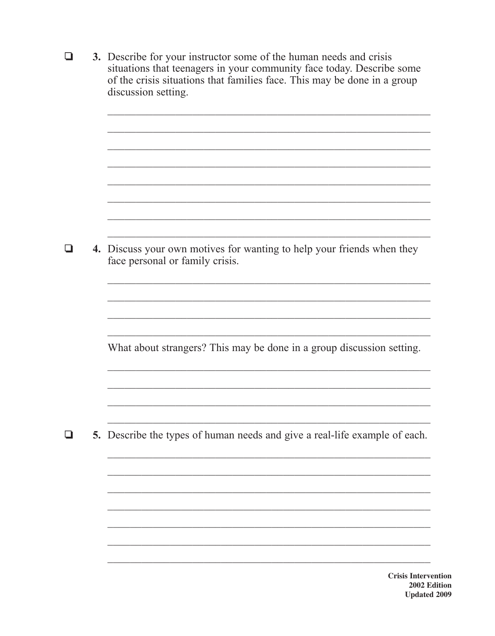|  | 3. Describe for your instructor some of the human needs and crisis<br>situations that teenagers in your community face today. Describe some<br>of the crisis situations that families face. This may be done in a group<br>discussion setting. |
|--|------------------------------------------------------------------------------------------------------------------------------------------------------------------------------------------------------------------------------------------------|
|  |                                                                                                                                                                                                                                                |
|  | 4. Discuss your own motives for wanting to help your friends when they<br>face personal or family crisis.                                                                                                                                      |
|  | What about strangers? This may be done in a group discussion setting.                                                                                                                                                                          |
|  | 5. Describe the types of human needs and give a real-life example of each.                                                                                                                                                                     |
|  | <b>Crisis Intervo</b>                                                                                                                                                                                                                          |

ention 2002 Edition **Updated 2009**